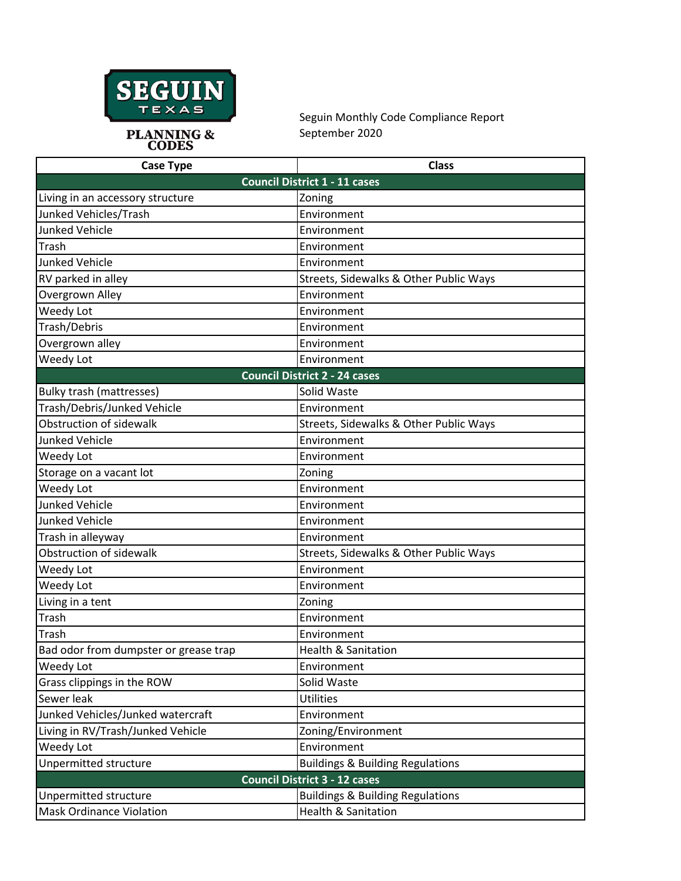

Seguin Monthly Code Compliance Report September 2020

**PLANNING &<br>CODES** 

| <b>Case Type</b>                      | <b>Class</b>                                |  |
|---------------------------------------|---------------------------------------------|--|
| <b>Council District 1 - 11 cases</b>  |                                             |  |
| Living in an accessory structure      | Zoning                                      |  |
| Junked Vehicles/Trash                 | Environment                                 |  |
| <b>Junked Vehicle</b>                 | Environment                                 |  |
| Trash                                 | Environment                                 |  |
| <b>Junked Vehicle</b>                 | Environment                                 |  |
| RV parked in alley                    | Streets, Sidewalks & Other Public Ways      |  |
| Overgrown Alley                       | Environment                                 |  |
| Weedy Lot                             | Environment                                 |  |
| Trash/Debris                          | Environment                                 |  |
| Overgrown alley                       | Environment                                 |  |
| Weedy Lot                             | Environment                                 |  |
| <b>Council District 2 - 24 cases</b>  |                                             |  |
| <b>Bulky trash (mattresses)</b>       | Solid Waste                                 |  |
| Trash/Debris/Junked Vehicle           | Environment                                 |  |
| Obstruction of sidewalk               | Streets, Sidewalks & Other Public Ways      |  |
| <b>Junked Vehicle</b>                 | Environment                                 |  |
| Weedy Lot                             | Environment                                 |  |
| Storage on a vacant lot               | Zoning                                      |  |
| Weedy Lot                             | Environment                                 |  |
| <b>Junked Vehicle</b>                 | Environment                                 |  |
| <b>Junked Vehicle</b>                 | Environment                                 |  |
| Trash in alleyway                     | Environment                                 |  |
| Obstruction of sidewalk               | Streets, Sidewalks & Other Public Ways      |  |
| Weedy Lot                             | Environment                                 |  |
| Weedy Lot                             | Environment                                 |  |
| Living in a tent                      | Zoning                                      |  |
| Trash                                 | Environment                                 |  |
| Trash                                 | Environment                                 |  |
| Bad odor from dumpster or grease trap | <b>Health &amp; Sanitation</b>              |  |
| Weedy Lot                             | Environment                                 |  |
| Grass clippings in the ROW            | Solid Waste                                 |  |
| Sewer leak                            | <b>Utilities</b>                            |  |
| Junked Vehicles/Junked watercraft     | Environment                                 |  |
| Living in RV/Trash/Junked Vehicle     | Zoning/Environment                          |  |
| Weedy Lot                             | Environment                                 |  |
| Unpermitted structure                 | <b>Buildings &amp; Building Regulations</b> |  |
| <b>Council District 3 - 12 cases</b>  |                                             |  |
| Unpermitted structure                 | <b>Buildings &amp; Building Regulations</b> |  |
| <b>Mask Ordinance Violation</b>       | <b>Health &amp; Sanitation</b>              |  |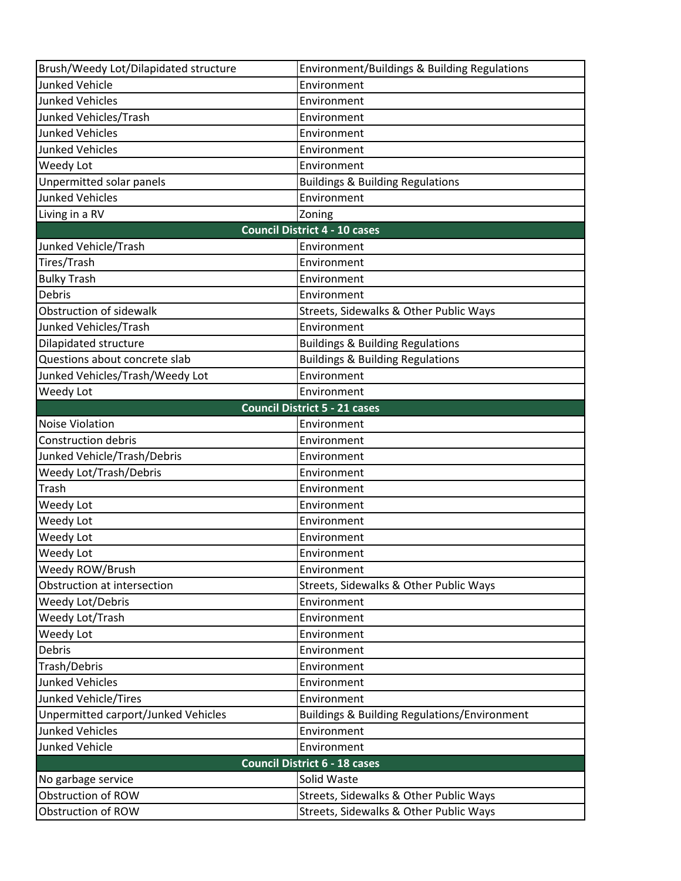| Brush/Weedy Lot/Dilapidated structure | Environment/Buildings & Building Regulations            |  |
|---------------------------------------|---------------------------------------------------------|--|
| <b>Junked Vehicle</b>                 | Environment                                             |  |
| <b>Junked Vehicles</b>                | Environment                                             |  |
| Junked Vehicles/Trash                 | Environment                                             |  |
| <b>Junked Vehicles</b>                | Environment                                             |  |
| <b>Junked Vehicles</b>                | Environment                                             |  |
| Weedy Lot                             | Environment                                             |  |
| Unpermitted solar panels              | <b>Buildings &amp; Building Regulations</b>             |  |
| <b>Junked Vehicles</b>                | Environment                                             |  |
| Living in a RV                        | Zoning                                                  |  |
| <b>Council District 4 - 10 cases</b>  |                                                         |  |
| Junked Vehicle/Trash                  | Environment                                             |  |
| Tires/Trash                           | Environment                                             |  |
| <b>Bulky Trash</b>                    | Environment                                             |  |
| Debris                                | Environment                                             |  |
| Obstruction of sidewalk               | Streets, Sidewalks & Other Public Ways                  |  |
| Junked Vehicles/Trash                 | Environment                                             |  |
| Dilapidated structure                 | <b>Buildings &amp; Building Regulations</b>             |  |
| Questions about concrete slab         | <b>Buildings &amp; Building Regulations</b>             |  |
| Junked Vehicles/Trash/Weedy Lot       | Environment                                             |  |
| Weedy Lot                             | Environment                                             |  |
|                                       | <b>Council District 5 - 21 cases</b>                    |  |
| <b>Noise Violation</b>                | Environment                                             |  |
| <b>Construction debris</b>            | Environment                                             |  |
| Junked Vehicle/Trash/Debris           | Environment                                             |  |
| Weedy Lot/Trash/Debris                | Environment                                             |  |
| Trash                                 | Environment                                             |  |
| Weedy Lot                             | Environment                                             |  |
| Weedy Lot                             | Environment                                             |  |
| Weedy Lot                             | Environment                                             |  |
| Weedy Lot                             | Environment                                             |  |
| Weedy ROW/Brush                       | Environment                                             |  |
| Obstruction at intersection           | Streets, Sidewalks & Other Public Ways                  |  |
| Weedy Lot/Debris                      | Environment                                             |  |
| Weedy Lot/Trash                       | Environment                                             |  |
| Weedy Lot                             | Environment                                             |  |
| <b>Debris</b>                         | Environment                                             |  |
| Trash/Debris                          | Environment                                             |  |
| <b>Junked Vehicles</b>                | Environment                                             |  |
| Junked Vehicle/Tires                  | Environment                                             |  |
| Unpermitted carport/Junked Vehicles   | <b>Buildings &amp; Building Regulations/Environment</b> |  |
| <b>Junked Vehicles</b>                | Environment                                             |  |
| <b>Junked Vehicle</b>                 | Environment                                             |  |
| <b>Council District 6 - 18 cases</b>  |                                                         |  |
| No garbage service                    | Solid Waste                                             |  |
| Obstruction of ROW                    | Streets, Sidewalks & Other Public Ways                  |  |
| Obstruction of ROW                    | Streets, Sidewalks & Other Public Ways                  |  |